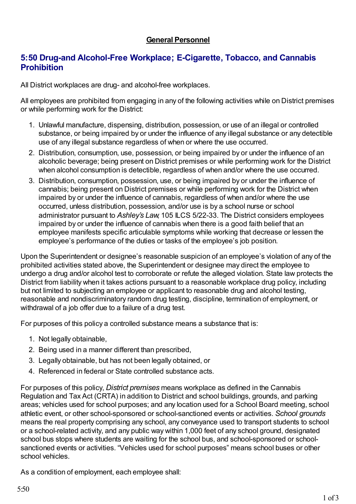## **General Personnel**

# **5:50 Drug-and Alcohol-Free Workplace; E-Cigarette, Tobacco, and Cannabis Prohibition**

All District workplaces are drug- and alcohol-free workplaces.

All employees are prohibited from engaging in any of the following activities while on District premises or while performing work for the District:

- 1. Unlawful manufacture, dispensing, distribution, possession, or use of an illegal or controlled substance, or being impaired by or under the influence of any illegal substance or any detectible use of any illegal substance regardless of when or where the use occurred.
- 2. Distribution, consumption, use, possession, or being impaired by or under the influence of an alcoholic beverage; being present on District premises or while performing work for the District when alcohol consumption is detectible, regardless of when and/or where the use occurred.
- 3. Distribution, consumption, possession, use, or being impaired by or under the influence of cannabis; being present on District premises or while performing work for the District when impaired by or under the influence of cannabis, regardless of when and/or where the use occurred, unless distribution, possession, and/or use is by a school nurse or school administrator pursuant to *Ashley's Law*, 105 ILCS 5/22-33. The District considers employees impaired by or under the influence of cannabis when there is a good faith belief that an employee manifests specific articulable symptoms while working that decrease or lessen the employee's performance of the duties or tasks of the employee's job position.

Upon the Superintendent or designee's reasonable suspicion of an employee's violation of any of the prohibited activities stated above, the Superintendent or designee may direct the employee to undergo a drug and/or alcohol test to corroborate or refute the alleged violation. State law protects the District from liability when it takes actions pursuant to a reasonable workplace drug policy, including but not limited to subjecting an employee or applicant to reasonable drug and alcohol testing, reasonable and nondiscriminatory random drug testing, discipline, termination of employment, or withdrawal of a job offer due to a failure of a drug test.

For purposes of this policy a controlled substance means a substance that is:

- 1. Not legally obtainable,
- 2. Being used in a manner different than prescribed,
- 3. Legally obtainable, but has not been legally obtained, or
- 4. Referenced in federal or State controlled substance acts.

For purposes of this policy, *District premises* means workplace as defined in the Cannabis Regulation and Tax Act (CRTA) in addition to District and school buildings, grounds, and parking areas; vehicles used for school purposes; and any location used for a School Board meeting, school athletic event, or other school-sponsored or school-sanctioned events or activities. *School grounds* means the real property comprising any school, any conveyance used to transport students to school or a school-related activity, and any public way within 1,000 feet of any school ground, designated school bus stops where students are waiting for the school bus, and school-sponsored or schoolsanctioned events or activities. "Vehicles used for school purposes" means school buses or other school vehicles.

As a condition of employment, each employee shall: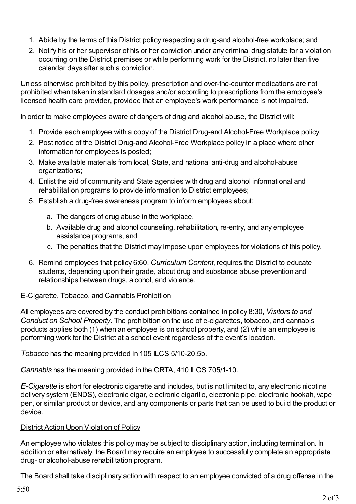- 1. Abide by the terms of this District policy respecting a drug-and alcohol-free workplace; and
- 2. Notify his or her supervisor of his or her conviction under any criminal drug statute for a violation occurring on the District premises or while performing work for the District, no later than five calendar days after such a conviction.

Unless otherwise prohibited by this policy, prescription and over-the-counter medications are not prohibited when taken in standard dosages and/or according to prescriptions from the employee's licensed health care provider, provided that an employee's work performance is not impaired.

In order to make employees aware of dangers of drug and alcohol abuse, the District will:

- 1. Provide each employee with a copy of the District Drug-and Alcohol-Free Workplace policy;
- 2. Post notice of the District Drug-and Alcohol-Free Workplace policy in a place where other information for employees is posted;
- 3. Make available materials from local, State, and national anti-drug and alcohol-abuse organizations;
- 4. Enlist the aid of community and State agencies with drug and alcohol informational and rehabilitation programs to provide information to District employees;
- 5. Establish a drug-free awareness program to inform employees about:
	- a. The dangers of drug abuse in the workplace,
	- b. Available drug and alcohol counseling, rehabilitation, re-entry, and any employee assistance programs, and
	- c. The penalties that the District may impose upon employees for violations of this policy.
- 6. Remind employees that policy 6:60, *Curriculum Content*, requires the District to educate students, depending upon their grade, about drug and substance abuse prevention and relationships between drugs, alcohol, and violence.

### E-Cigarette, Tobacco, and Cannabis Prohibition

All employees are covered by the conduct prohibitions contained in policy 8:30, *Visitors to and Conduct on School Property*. The prohibition on the use of e-cigarettes, tobacco, and cannabis products applies both (1) when an employee is on school property, and (2) while an employee is performing work for the District at a school event regardless of the event's location.

*Tobacco* has the meaning provided in 105 ILCS 5/10-20.5b.

*Cannabis* has the meaning provided in the CRTA, 410 ILCS 705/1-10.

*E-Cigarette* is short for electronic cigarette and includes, but is not limited to, any electronic nicotine delivery system (ENDS), electronic cigar, electronic cigarillo, electronic pipe, electronic hookah, vape pen, or similar product or device, and any components or parts that can be used to build the product or device.

### District Action Upon Violation of Policy

An employee who violates this policy may be subject to disciplinary action, including termination. In addition or alternatively, the Board may require an employee to successfully complete an appropriate drug- or alcohol-abuse rehabilitation program.

The Board shall take disciplinary action with respect to an employee convicted of a drug offense in the